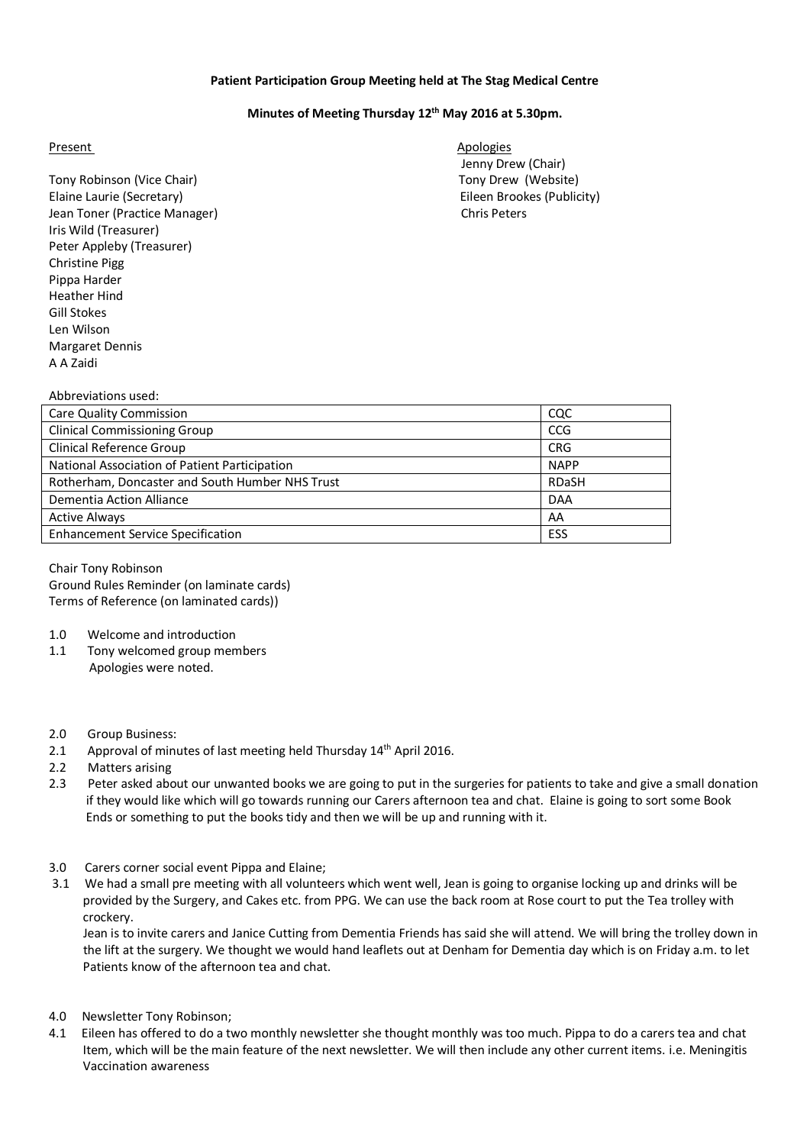## **Patient Participation Group Meeting held at The Stag Medical Centre**

## **Minutes of Meeting Thursday 12th May 2016 at 5.30pm.**

## Present Apologies Apologies

Tony Robinson (Vice Chair) Tony Drew (Website) Elaine Laurie (Secretary) Eileen Brookes (Publicity) Jean Toner (Practice Manager) Chris Peters Iris Wild (Treasurer) Peter Appleby (Treasurer) Christine Pigg Pippa Harder Heather Hind Gill Stokes Len Wilson Margaret Dennis A A Zaidi

Jenny Drew (Chair)

| Abbreviations used:                             |              |
|-------------------------------------------------|--------------|
| <b>Care Quality Commission</b>                  | CQC          |
| <b>Clinical Commissioning Group</b>             | <b>CCG</b>   |
| <b>Clinical Reference Group</b>                 | <b>CRG</b>   |
| National Association of Patient Participation   | <b>NAPP</b>  |
| Rotherham, Doncaster and South Humber NHS Trust | <b>RDaSH</b> |
| Dementia Action Alliance                        | <b>DAA</b>   |
| <b>Active Always</b>                            | AA           |
| <b>Enhancement Service Specification</b>        | <b>ESS</b>   |
|                                                 |              |

Chair Tony Robinson Ground Rules Reminder (on laminate cards) Terms of Reference (on laminated cards))

- 1.0 Welcome and introduction
- 1.1 Tony welcomed group members Apologies were noted.
- 2.0 Group Business:
- 2.1 Approval of minutes of last meeting held Thursday 14<sup>th</sup> April 2016.
- 2.2 Matters arising
- 2.3 Peter asked about our unwanted books we are going to put in the surgeries for patients to take and give a small donation if they would like which will go towards running our Carers afternoon tea and chat. Elaine is going to sort some Book Ends or something to put the books tidy and then we will be up and running with it.
- 3.0 Carers corner social event Pippa and Elaine;
- 3.1 We had a small pre meeting with all volunteers which went well, Jean is going to organise locking up and drinks will be provided by the Surgery, and Cakes etc. from PPG. We can use the back room at Rose court to put the Tea trolley with crockery.

 Jean is to invite carers and Janice Cutting from Dementia Friends has said she will attend. We will bring the trolley down in the lift at the surgery. We thought we would hand leaflets out at Denham for Dementia day which is on Friday a.m. to let Patients know of the afternoon tea and chat.

- 4.0 Newsletter Tony Robinson;
- 4.1 Eileen has offered to do a two monthly newsletter she thought monthly was too much. Pippa to do a carers tea and chat Item, which will be the main feature of the next newsletter. We will then include any other current items. i.e. Meningitis Vaccination awareness